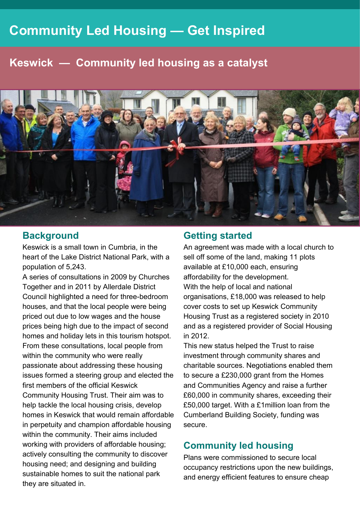# **Community Led Housing — Get Inspired**

# **Keswick — Community led housing as a catalyst**



#### **Background**

Keswick is a small town in Cumbria, in the heart of the Lake District National Park, with a population of 5,243.

A series of consultations in 2009 by Churches Together and in 2011 by Allerdale District Council highlighted a need for three-bedroom houses, and that the local people were being priced out due to low wages and the house prices being high due to the impact of second homes and holiday lets in this tourism hotspot. From these consultations, local people from within the community who were really passionate about addressing these housing issues formed a steering group and elected the first members of the official Keswick Community Housing Trust. Their aim was to help tackle the local housing crisis, develop homes in Keswick that would remain affordable in perpetuity and champion affordable housing within the community. Their aims included working with providers of affordable housing; actively consulting the community to discover housing need; and designing and building sustainable homes to suit the national park they are situated in.

#### **Getting started**

An agreement was made with a local church to sell off some of the land, making 11 plots available at £10,000 each, ensuring affordability for the development. With the help of local and national organisations, £18,000 was released to help cover costs to set up Keswick Community Housing Trust as a registered society in 2010 and as a registered provider of Social Housing in 2012.

This new status helped the Trust to raise investment through community shares and charitable sources. Negotiations enabled them to secure a £230,000 grant from the Homes and Communities Agency and raise a further £60,000 in community shares, exceeding their £50,000 target. With a £1million loan from the Cumberland Building Society, funding was secure.

### **Community led housing**

Plans were commissioned to secure local occupancy restrictions upon the new buildings, and energy efficient features to ensure cheap